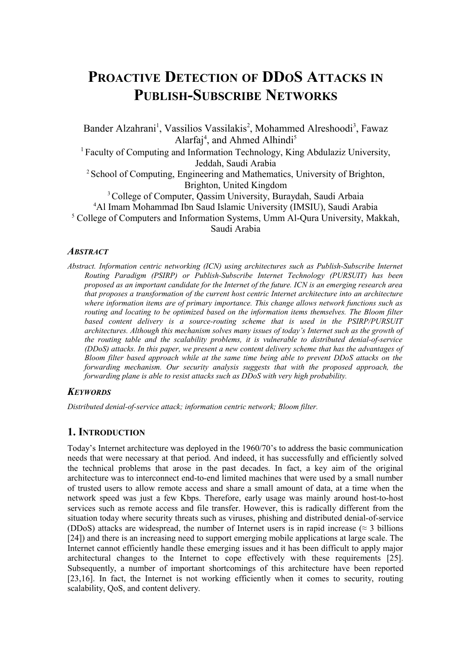# **PROACTIVE DETECTION OF DDOS ATTACKS IN PUBLISH-SUBSCRIBE NETWORKS**

Bander Alzahrani<sup>1</sup>, Vassilios Vassilakis<sup>2</sup>, Mohammed Alreshoodi<sup>3</sup>, Fawaz Alarfaj<sup>4</sup>, and Ahmed Alhindi<sup>5</sup> <sup>1</sup> Faculty of Computing and Information Technology, King Abdulaziz University, Jeddah, Saudi Arabia <sup>2</sup> School of Computing, Engineering and Mathematics, University of Brighton, Brighton, United Kingdom <sup>3</sup> College of Computer, Oassim University, Buraydah, Saudi Arbaia <sup>4</sup>Al Imam Mohammad Ibn Saud Islamic University (IMSIU), Saudi Arabia <sup>5</sup> College of Computers and Information Systems, Umm Al-Qura University, Makkah,

Saudi Arabia

### *ABSTRACT*

*Abstract. Information centric networking (ICN) using architectures such as Publish-Subscribe Internet Routing Paradigm (PSIRP) or Publish-Subscribe Internet Technology (PURSUIT) has been proposed as an important candidate for the Internet of the future. ICN is an emerging research area that proposes a transformation of the current host centric Internet architecture into an architecture where information items are of primary importance. This change allows network functions such as routing and locating to be optimized based on the information items themselves. The Bloom filter based content delivery is a source-routing scheme that is used in the PSIRP/PURSUIT architectures. Although this mechanism solves many issues of today's Internet such as the growth of the routing table and the scalability problems, it is vulnerable to distributed denial-of-service (DDoS) attacks. In this paper, we present a new content delivery scheme that has the advantages of Bloom filter based approach while at the same time being able to prevent DDoS attacks on the forwarding mechanism. Our security analysis suggests that with the proposed approach, the forwarding plane is able to resist attacks such as DDoS with very high probability.*

## *KEYWORDS*

*Distributed denial-of-service attack; information centric network; Bloom filter.* 

## **1. INTRODUCTION**

Today's Internet architecture was deployed in the 1960/70's to address the basic communication needs that were necessary at that period. And indeed, it has successfully and efficiently solved the technical problems that arose in the past decades. In fact, a key aim of the original architecture was to interconnect end-to-end limited machines that were used by a small number of trusted users to allow remote access and share a small amount of data, at a time when the network speed was just a few Kbps. Therefore, early usage was mainly around host-to-host services such as remote access and file transfer. However, this is radically different from the situation today where security threats such as viruses, phishing and distributed denial-of-service (DDoS) attacks are widespread, the number of Internet users is in rapid increase ( $\approx$  3 billions [24]) and there is an increasing need to support emerging mobile applications at large scale. The Internet cannot efficiently handle these emerging issues and it has been difficult to apply major architectural changes to the Internet to cope effectively with these requirements [25]. Subsequently, a number of important shortcomings of this architecture have been reported [23,16]. In fact, the Internet is not working efficiently when it comes to security, routing scalability, QoS, and content delivery.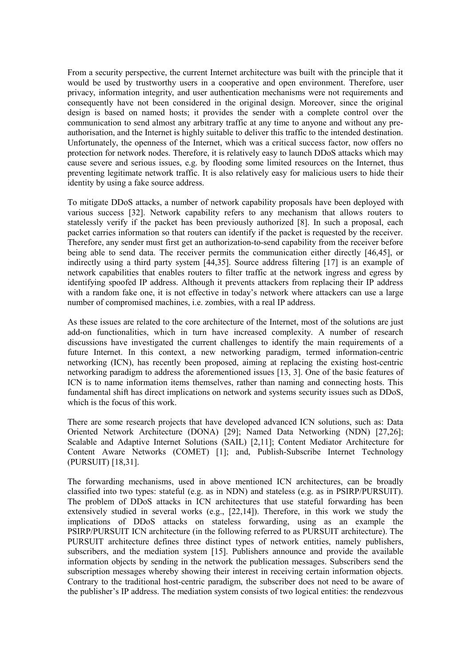From a security perspective, the current Internet architecture was built with the principle that it would be used by trustworthy users in a cooperative and open environment. Therefore, user privacy, information integrity, and user authentication mechanisms were not requirements and consequently have not been considered in the original design. Moreover, since the original design is based on named hosts; it provides the sender with a complete control over the communication to send almost any arbitrary traffic at any time to anyone and without any preauthorisation, and the Internet is highly suitable to deliver this traffic to the intended destination. Unfortunately, the openness of the Internet, which was a critical success factor, now offers no protection for network nodes. Therefore, it is relatively easy to launch DDoS attacks which may cause severe and serious issues, e.g. by flooding some limited resources on the Internet, thus preventing legitimate network traffic. It is also relatively easy for malicious users to hide their identity by using a fake source address.

To mitigate DDoS attacks, a number of network capability proposals have been deployed with various success [32]. Network capability refers to any mechanism that allows routers to statelessly verify if the packet has been previously authorized [8]. In such a proposal, each packet carries information so that routers can identify if the packet is requested by the receiver. Therefore, any sender must first get an authorization-to-send capability from the receiver before being able to send data. The receiver permits the communication either directly [46,45], or indirectly using a third party system [44,35]. Source address filtering [17] is an example of network capabilities that enables routers to filter traffic at the network ingress and egress by identifying spoofed IP address. Although it prevents attackers from replacing their IP address with a random fake one, it is not effective in today's network where attackers can use a large number of compromised machines, i.e. zombies, with a real IP address.

As these issues are related to the core architecture of the Internet, most of the solutions are just add-on functionalities, which in turn have increased complexity. A number of research discussions have investigated the current challenges to identify the main requirements of a future Internet. In this context, a new networking paradigm, termed information-centric networking (ICN), has recently been proposed, aiming at replacing the existing host-centric networking paradigm to address the aforementioned issues [13, 3]. One of the basic features of ICN is to name information items themselves, rather than naming and connecting hosts. This fundamental shift has direct implications on network and systems security issues such as DDoS, which is the focus of this work.

There are some research projects that have developed advanced ICN solutions, such as: Data Oriented Network Architecture (DONA) [29]; Named Data Networking (NDN) [27,26]; Scalable and Adaptive Internet Solutions (SAIL) [2,11]; Content Mediator Architecture for Content Aware Networks (COMET) [1]; and, Publish-Subscribe Internet Technology (PURSUIT) [18,31].

The forwarding mechanisms, used in above mentioned ICN architectures, can be broadly classified into two types: stateful (e.g. as in NDN) and stateless (e.g. as in PSIRP/PURSUIT). The problem of DDoS attacks in ICN architectures that use stateful forwarding has been extensively studied in several works (e.g., [22,14]). Therefore, in this work we study the implications of DDoS attacks on stateless forwarding, using as an example the PSIRP/PURSUIT ICN architecture (in the following referred to as PURSUIT architecture). The PURSUIT architecture defines three distinct types of network entities, namely publishers, subscribers, and the mediation system [15]. Publishers announce and provide the available information objects by sending in the network the publication messages. Subscribers send the subscription messages whereby showing their interest in receiving certain information objects. Contrary to the traditional host-centric paradigm, the subscriber does not need to be aware of the publisher's IP address. The mediation system consists of two logical entities: the rendezvous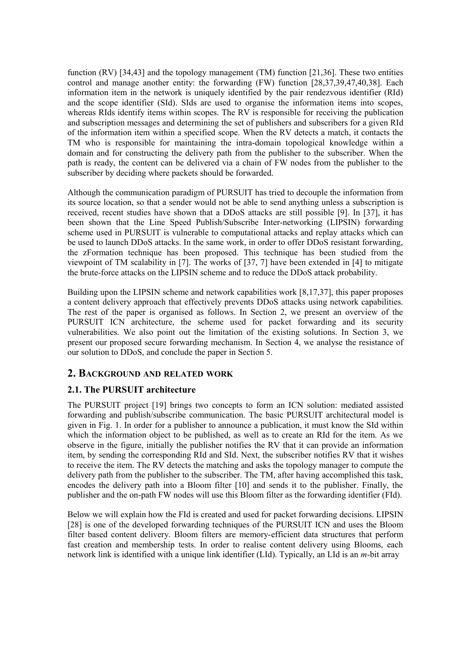function  $\text{RV}$  [34,43] and the topology management  $\text{TM}$ ) function [21,36]. These two entities control and manage another entity: the forwarding (FW) function [28,37,39,47,40,38]. Each information item in the network is uniquely identified by the pair rendezvous identifier (RId) and the scope identifier (SId). SIds are used to organise the information items into scopes, whereas RIds identify items within scopes. The RV is responsible for receiving the publication and subscription messages and determining the set of publishers and subscribers for a given RId of the information item within a specified scope. When the RV detects a match, it contacts the TM who is responsible for maintaining the intra-domain topological knowledge within a domain and for constructing the delivery path from the publisher to the subscriber. When the path is ready, the content can be delivered via a chain of FW nodes from the publisher to the subscriber by deciding where packets should be forwarded.

Although the communication paradigm of PURSUIT has tried to decouple the information from its source location, so that a sender would not be able to send anything unless a subscription is received, recent studies have shown that a DDoS attacks are still possible [9]. In [37], it has been shown that the Line Speed Publish/Subscribe Inter-networking (LIPSIN) forwarding scheme used in PURSUIT is vulnerable to computational attacks and replay attacks which can be used to launch DDoS attacks. In the same work, in order to offer DDoS resistant forwarding, the zFormation technique has been proposed. This technique has been studied from the viewpoint of TM scalability in [7]. The works of [37, 7] have been extended in [4] to mitigate the brute-force attacks on the LIPSIN scheme and to reduce the DDoS attack probability.

Building upon the LIPSIN scheme and network capabilities work [8,17,37], this paper proposes a content delivery approach that effectively prevents DDoS attacks using network capabilities. The rest of the paper is organised as follows. In Section 2, we present an overview of the PURSUIT ICN architecture, the scheme used for packet forwarding and its security vulnerabilities. We also point out the limitation of the existing solutions. In Section 3, we present our proposed secure forwarding mechanism. In Section 4, we analyse the resistance of our solution to DDoS, and conclude the paper in Section 5.

# **2. BACKGROUND AND RELATED WORK**

# **2.1. The PURSUIT architecture**

The PURSUIT project [19] brings two concepts to form an ICN solution: mediated assisted forwarding and publish/subscribe communication. The basic PURSUIT architectural model is given in Fig. 1. In order for a publisher to announce a publication, it must know the SId within which the information object to be published, as well as to create an RId for the item. As we observe in the figure, initially the publisher notifies the RV that it can provide an information item, by sending the corresponding RId and SId. Next, the subscriber notifies RV that it wishes to receive the item. The  $\overline{RV}$  detects the matching and asks the topology manager to compute the delivery path from the publisher to the subscriber. The TM, after having accomplished this task, encodes the delivery path into a Bloom filter [10] and sends it to the publisher. Finally, the publisher and the on-path FW nodes will use this Bloom filter as the forwarding identifier (FId).

Below we will explain how the FId is created and used for packet forwarding decisions. LIPSIN [28] is one of the developed forwarding techniques of the PURSUIT ICN and uses the Bloom filter based content delivery. Bloom filters are memory-efficient data structures that perform fast creation and membership tests. In order to realise content delivery using Blooms, each network link is identified with a unique link identifier (LId). Typically, an LId is an *m*-bit array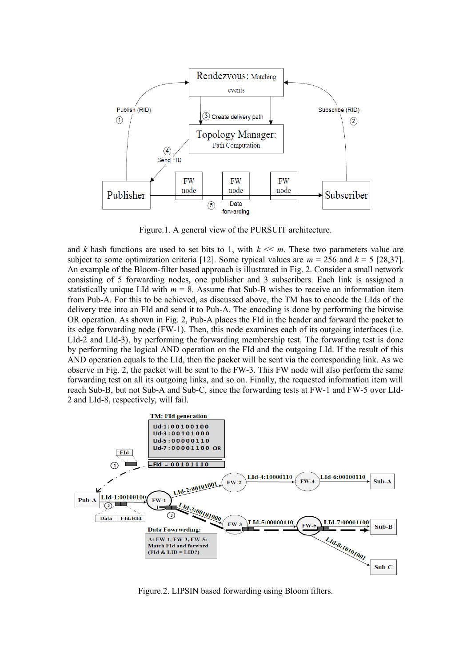

Figure.1. A general view of the PURSUIT architecture.

and *k* hash functions are used to set bits to 1, with  $k \ll m$ . These two parameters value are subject to some optimization criteria [12]. Some typical values are  $m = 256$  and  $k = 5$  [28,37]. An example of the Bloom-filter based approach is illustrated in Fig. 2. Consider a small network consisting of 5 forwarding nodes, one publisher and 3 subscribers. Each link is assigned a statistically unique LId with  $m = 8$ . Assume that Sub-B wishes to receive an information item from Pub-A. For this to be achieved, as discussed above, the TM has to encode the LIds of the delivery tree into an FId and send it to Pub-A. The encoding is done by performing the bitwise OR operation. As shown in Fig. 2, Pub-A places the FId in the header and forward the packet to its edge forwarding node (FW-1). Then, this node examines each of its outgoing interfaces (i.e. LId-2 and LId-3), by performing the forwarding membership test. The forwarding test is done by performing the logical AND operation on the FId and the outgoing LId. If the result of this AND operation equals to the LId, then the packet will be sent via the corresponding link. As we observe in Fig. 2, the packet will be sent to the FW-3. This FW node will also perform the same forwarding test on all its outgoing links, and so on. Finally, the requested information item will reach Sub-B, but not Sub-A and Sub-C, since the forwarding tests at FW-1 and FW-5 over LId-2 and LId-8, respectively, will fail.



Figure.2. LIPSIN based forwarding using Bloom filters.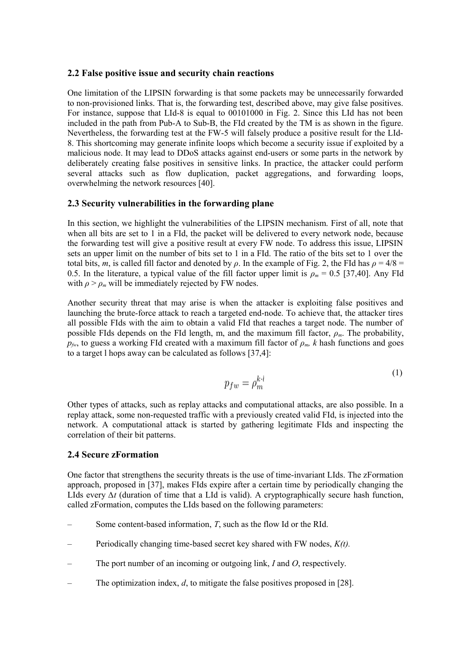#### **2.2 False positive issue and security chain reactions**

One limitation of the LIPSIN forwarding is that some packets may be unnecessarily forwarded to non-provisioned links. That is, the forwarding test, described above, may give false positives. For instance, suppose that LId-8 is equal to 00101000 in Fig. 2. Since this LId has not been included in the path from Pub-A to Sub-B, the FId created by the TM is as shown in the figure. Nevertheless, the forwarding test at the FW-5 will falsely produce a positive result for the LId-8. This shortcoming may generate infinite loops which become a security issue if exploited by a malicious node. It may lead to DDoS attacks against end-users or some parts in the network by deliberately creating false positives in sensitive links. In practice, the attacker could perform several attacks such as flow duplication, packet aggregations, and forwarding loops, overwhelming the network resources [40].

#### **2.3 Security vulnerabilities in the forwarding plane**

In this section, we highlight the vulnerabilities of the LIPSIN mechanism. First of all, note that when all bits are set to 1 in a FId, the packet will be delivered to every network node, because the forwarding test will give a positive result at every FW node. To address this issue, LIPSIN sets an upper limit on the number of bits set to 1 in a FId. The ratio of the bits set to 1 over the total bits, *m*, is called fill factor and denoted by  $\rho$ . In the example of Fig. 2, the FId has  $\rho = 4/8 =$ 0.5. In the literature, a typical value of the fill factor upper limit is  $\rho_m = 0.5$  [37,40]. Any FId with  $\rho > \rho_m$  will be immediately rejected by FW nodes.

Another security threat that may arise is when the attacker is exploiting false positives and launching the brute-force attack to reach a targeted end-node. To achieve that, the attacker tires all possible FIds with the aim to obtain a valid FId that reaches a target node. The number of possible FIds depends on the FId length, m, and the maximum fill factor, *ρm*. The probability,  $p_{fw}$ , to guess a working FId created with a maximum fill factor of  $\rho_m$ , k hash functions and goes to a target l hops away can be calculated as follows [37,4]:

$$
p_{fw} = \rho_m^{k \cdot l} \tag{1}
$$

Other types of attacks, such as replay attacks and computational attacks, are also possible. In a replay attack, some non-requested traffic with a previously created valid FId, is injected into the network. A computational attack is started by gathering legitimate FIds and inspecting the correlation of their bit patterns.

#### **2.4 Secure zFormation**

One factor that strengthens the security threats is the use of time-invariant LIds. The zFormation approach, proposed in [37], makes FIds expire after a certain time by periodically changing the LIds every *∆t* (duration of time that a LId is valid). A cryptographically secure hash function, called zFormation, computes the LIds based on the following parameters:

- Some content-based information, *T*, such as the flow Id or the RId.
- Periodically changing time-based secret key shared with FW nodes, *K(t).*
- The port number of an incoming or outgoing link, *I* and *O*, respectively.
- The optimization index, *d*, to mitigate the false positives proposed in [28].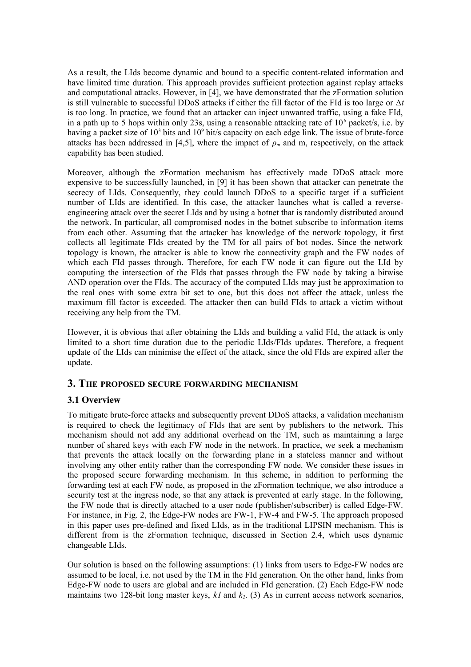As a result, the LIds become dynamic and bound to a specific content-related information and have limited time duration. This approach provides sufficient protection against replay attacks and computational attacks. However, in [4], we have demonstrated that the zFormation solution is still vulnerable to successful DDoS attacks if either the fill factor of the FId is too large or *∆t* is too long. In practice, we found that an attacker can inject unwanted traffic, using a fake FId, in a path up to 5 hops within only 23s, using a reasonable attacking rate of  $10<sup>6</sup>$  packet/s, i.e. by having a packet size of  $10^3$  bits and  $10^9$  bit/s capacity on each edge link. The issue of brute-force attacks has been addressed in [4,5], where the impact of  $\rho_m$  and m, respectively, on the attack capability has been studied.

Moreover, although the zFormation mechanism has effectively made DDoS attack more expensive to be successfully launched, in [9] it has been shown that attacker can penetrate the secrecy of LIds. Consequently, they could launch DDoS to a specific target if a sufficient number of LIds are identified. In this case, the attacker launches what is called a reverseengineering attack over the secret LIds and by using a botnet that is randomly distributed around the network. In particular, all compromised nodes in the botnet subscribe to information items from each other. Assuming that the attacker has knowledge of the network topology, it first collects all legitimate FIds created by the TM for all pairs of bot nodes. Since the network topology is known, the attacker is able to know the connectivity graph and the FW nodes of which each FId passes through. Therefore, for each FW node it can figure out the LId by computing the intersection of the FIds that passes through the FW node by taking a bitwise AND operation over the FIds. The accuracy of the computed LIds may just be approximation to the real ones with some extra bit set to one, but this does not affect the attack, unless the maximum fill factor is exceeded. The attacker then can build FIds to attack a victim without receiving any help from the TM.

However, it is obvious that after obtaining the LIds and building a valid FId, the attack is only limited to a short time duration due to the periodic LIds/FIds updates. Therefore, a frequent update of the LIds can minimise the effect of the attack, since the old FIds are expired after the update.

## **3. THE PROPOSED SECURE FORWARDING MECHANISM**

## **3.1 Overview**

To mitigate brute-force attacks and subsequently prevent DDoS attacks, a validation mechanism is required to check the legitimacy of FIds that are sent by publishers to the network. This mechanism should not add any additional overhead on the TM, such as maintaining a large number of shared keys with each FW node in the network. In practice, we seek a mechanism that prevents the attack locally on the forwarding plane in a stateless manner and without involving any other entity rather than the corresponding FW node. We consider these issues in the proposed secure forwarding mechanism. In this scheme, in addition to performing the forwarding test at each FW node, as proposed in the zFormation technique, we also introduce a security test at the ingress node, so that any attack is prevented at early stage. In the following, the FW node that is directly attached to a user node (publisher/subscriber) is called Edge-FW. For instance, in Fig. 2, the Edge-FW nodes are FW-1, FW-4 and FW-5. The approach proposed in this paper uses pre-defined and fixed LIds, as in the traditional LIPSIN mechanism. This is different from is the zFormation technique, discussed in Section 2.4, which uses dynamic changeable LIds.

Our solution is based on the following assumptions: (1) links from users to Edge-FW nodes are assumed to be local, i.e. not used by the TM in the FId generation. On the other hand, links from Edge-FW node to users are global and are included in FId generation. (2) Each Edge-FW node maintains two 128-bit long master keys,  $kI$  and  $k<sub>2</sub>$ . (3) As in current access network scenarios,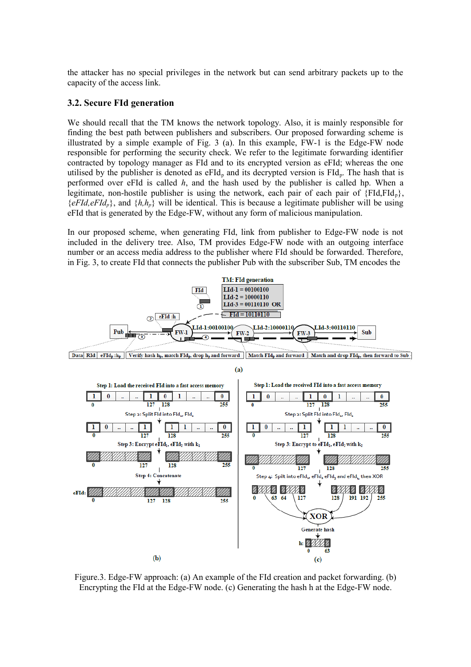the attacker has no special privileges in the network but can send arbitrary packets up to the capacity of the access link.

#### **3.2. Secure FId generation**

We should recall that the TM knows the network topology. Also, it is mainly responsible for finding the best path between publishers and subscribers. Our proposed forwarding scheme is illustrated by a simple example of Fig. 3 (a). In this example, FW-1 is the Edge-FW node responsible for performing the security check. We refer to the legitimate forwarding identifier contracted by topology manager as FId and to its encrypted version as eFId; whereas the one utilised by the publisher is denoted as  $eFId_n$  and its decrypted version is  $FId_n$ . The hash that is performed over eFId is called *h*, and the hash used by the publisher is called hp. When a legitimate, non-hostile publisher is using the network, each pair of each pair of  ${FId, FId_n}$ ,  ${eFId, eFId_p}$ , and  ${h,h_p}$  will be identical. This is because a legitimate publisher will be using eFId that is generated by the Edge-FW, without any form of malicious manipulation.

In our proposed scheme, when generating FId, link from publisher to Edge-FW node is not included in the delivery tree. Also, TM provides Edge-FW node with an outgoing interface number or an access media address to the publisher where FId should be forwarded. Therefore, in Fig. 3, to create FId that connects the publisher Pub with the subscriber Sub, TM encodes the



Figure.3. Edge-FW approach: (a) An example of the FId creation and packet forwarding. (b) Encrypting the FId at the Edge-FW node. (c) Generating the hash h at the Edge-FW node.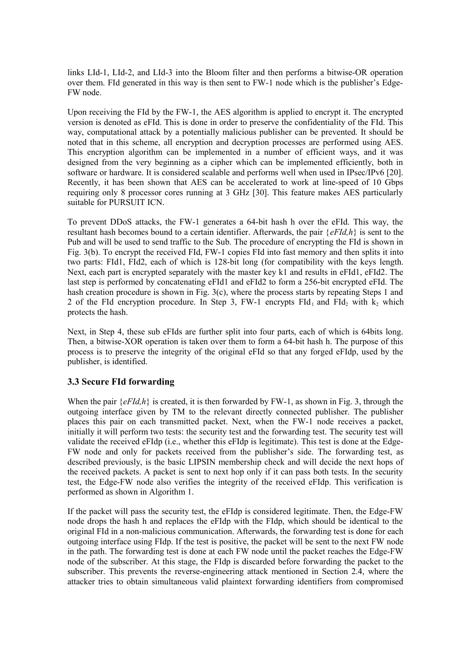links LId-1, LId-2, and LId-3 into the Bloom filter and then performs a bitwise-OR operation over them. FId generated in this way is then sent to FW-1 node which is the publisher's Edge-FW node.

Upon receiving the FId by the FW-1, the AES algorithm is applied to encrypt it. The encrypted version is denoted as eFId. This is done in order to preserve the confidentiality of the FId. This way, computational attack by a potentially malicious publisher can be prevented. It should be noted that in this scheme, all encryption and decryption processes are performed using AES. This encryption algorithm can be implemented in a number of efficient ways, and it was designed from the very beginning as a cipher which can be implemented efficiently, both in software or hardware. It is considered scalable and performs well when used in IPsec/IPv6 [20]. Recently, it has been shown that AES can be accelerated to work at line-speed of 10 Gbps requiring only 8 processor cores running at 3 GHz [30]. This feature makes AES particularly suitable for PURSUIT ICN.

To prevent DDoS attacks, the FW-1 generates a 64-bit hash h over the eFId. This way, the resultant hash becomes bound to a certain identifier. Afterwards, the pair {*eFId,h*} is sent to the Pub and will be used to send traffic to the Sub. The procedure of encrypting the FId is shown in Fig. 3(b). To encrypt the received FId, FW-1 copies FId into fast memory and then splits it into two parts: FId1, FId2, each of which is 128-bit long (for compatibility with the keys length. Next, each part is encrypted separately with the master key k1 and results in eFId1, eFId2. The last step is performed by concatenating eFId1 and eFId2 to form a 256-bit encrypted eFId. The hash creation procedure is shown in Fig. 3(c), where the process starts by repeating Steps 1 and 2 of the FId encryption procedure. In Step 3, FW-1 encrypts  $FId_1$  and  $FId_2$  with  $k_2$  which protects the hash.

Next, in Step 4, these sub eFIds are further split into four parts, each of which is 64bits long. Then, a bitwise-XOR operation is taken over them to form a 64-bit hash h. The purpose of this process is to preserve the integrity of the original eFId so that any forged eFIdp, used by the publisher, is identified.

## **3.3 Secure FId forwarding**

When the pair  $\{eFId, h\}$  is created, it is then forwarded by FW-1, as shown in Fig. 3, through the outgoing interface given by TM to the relevant directly connected publisher. The publisher places this pair on each transmitted packet. Next, when the FW-1 node receives a packet, initially it will perform two tests: the security test and the forwarding test. The security test will validate the received eFIdp (i.e., whether this eFIdp is legitimate). This test is done at the Edge-FW node and only for packets received from the publisher's side. The forwarding test, as described previously, is the basic LIPSIN membership check and will decide the next hops of the received packets. A packet is sent to next hop only if it can pass both tests. In the security test, the Edge-FW node also verifies the integrity of the received eFIdp. This verification is performed as shown in Algorithm 1.

If the packet will pass the security test, the eFIdp is considered legitimate. Then, the Edge-FW node drops the hash h and replaces the eFIdp with the FIdp, which should be identical to the original FId in a non-malicious communication. Afterwards, the forwarding test is done for each outgoing interface using FIdp. If the test is positive, the packet will be sent to the next FW node in the path. The forwarding test is done at each FW node until the packet reaches the Edge-FW node of the subscriber. At this stage, the FIdp is discarded before forwarding the packet to the subscriber. This prevents the reverse-engineering attack mentioned in Section 2.4, where the attacker tries to obtain simultaneous valid plaintext forwarding identifiers from compromised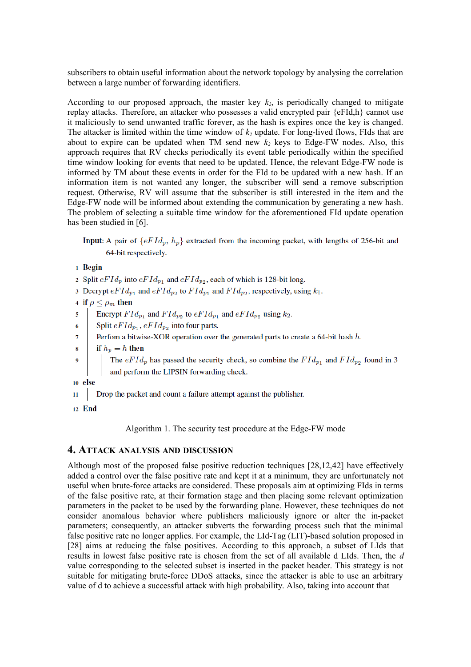subscribers to obtain useful information about the network topology by analysing the correlation between a large number of forwarding identifiers.

According to our proposed approach, the master key  $k_2$ , is periodically changed to mitigate replay attacks. Therefore, an attacker who possesses a valid encrypted pair {eFId,h} cannot use it maliciously to send unwanted traffic forever, as the hash is expires once the key is changed. The attacker is limited within the time window of *k2* update. For long-lived flows, FIds that are about to expire can be updated when TM send new  $k_2$  keys to Edge-FW nodes. Also, this approach requires that RV checks periodically its event table periodically within the specified time window looking for events that need to be updated. Hence, the relevant Edge-FW node is informed by TM about these events in order for the FId to be updated with a new hash. If an information item is not wanted any longer, the subscriber will send a remove subscription request. Otherwise, RV will assume that the subscriber is still interested in the item and the Edge-FW node will be informed about extending the communication by generating a new hash. The problem of selecting a suitable time window for the aforementioned FId update operation has been studied in [6].

- Input: A pair of  $\{eFId_p, h_p\}$  extracted from the incoming packet, with lengths of 256-bit and 64-bit respectively.
- 1 Begin
- 2 Split  $eFId_p$  into  $eFId_{p_1}$  and  $eFId_{p_2}$ , each of which is 128-bit long.
- 3 Decrypt  $eFId_{p_1}$  and  $eFId_{p_2}$  to  $FId_{p_1}$  and  $FId_{p_2}$ , respectively, using  $k_1$ .
- 4 if  $\rho \leq \rho_m$  then
- Encrypt  $FId_{p_1}$  and  $FId_{p_2}$  to  $eFId_{p_1}$  and  $eFId_{p_2}$  using  $k_2$ . 5
- Split  $eFId_{p_1}, eFId_{p_2}$  into four parts.  $\overline{6}$
- Perfom a bitwise-XOR operation over the generated parts to create a 64-bit hash  $h$ .  $\overline{7}$
- if  $h_p = h$  then 8
	- The  $eFId_p$  has passed the security check, so combine the  $FId_{p_1}$  and  $FId_{p_2}$  found in 3 and perform the LIPSIN forwarding check.
- 10 else

 $\overline{9}$ 

- Drop the packet and count a failure attempt against the publisher.  $\overline{11}$
- 12 End

Algorithm 1. The security test procedure at the Edge-FW mode

#### **4. ATTACK ANALYSIS AND DISCUSSION**

Although most of the proposed false positive reduction techniques [28,12,42] have effectively added a control over the false positive rate and kept it at a minimum, they are unfortunately not useful when brute-force attacks are considered. These proposals aim at optimizing FIds in terms of the false positive rate, at their formation stage and then placing some relevant optimization parameters in the packet to be used by the forwarding plane. However, these techniques do not consider anomalous behavior where publishers maliciously ignore or alter the in-packet parameters; consequently, an attacker subverts the forwarding process such that the minimal false positive rate no longer applies. For example, the LId-Tag (LIT)-based solution proposed in [28] aims at reducing the false positives. According to this approach, a subset of LIds that results in lowest false positive rate is chosen from the set of all available d LIds. Then, the *d* value corresponding to the selected subset is inserted in the packet header. This strategy is not suitable for mitigating brute-force DDoS attacks, since the attacker is able to use an arbitrary value of d to achieve a successful attack with high probability. Also, taking into account that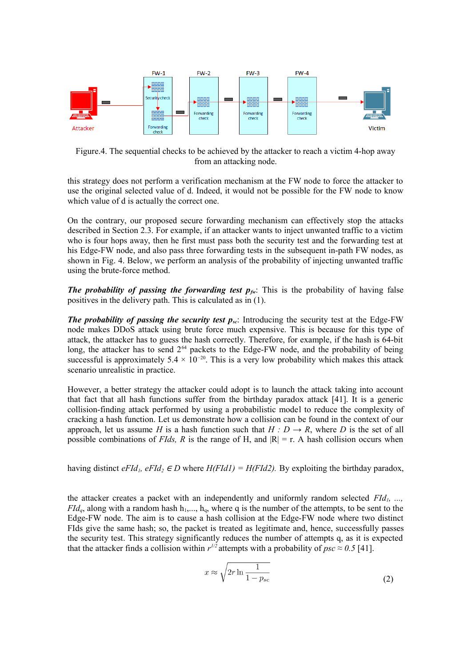

Figure.4. The sequential checks to be achieved by the attacker to reach a victim 4-hop away from an attacking node.

this strategy does not perform a verification mechanism at the FW node to force the attacker to use the original selected value of d. Indeed, it would not be possible for the FW node to know which value of d is actually the correct one.

On the contrary, our proposed secure forwarding mechanism can effectively stop the attacks described in Section 2.3. For example, if an attacker wants to inject unwanted traffic to a victim who is four hops away, then he first must pass both the security test and the forwarding test at his Edge-FW node, and also pass three forwarding tests in the subsequent in-path FW nodes, as shown in Fig. 4. Below, we perform an analysis of the probability of injecting unwanted traffic using the brute-force method.

**The probability of passing the forwarding test**  $p_{fw}$ **: This is the probability of having false** positives in the delivery path. This is calculated as in (1).

*The probability of passing the security test*  $p_{\varphi}$ *:* Introducing the security test at the Edge-FW node makes DDoS attack using brute force much expensive. This is because for this type of attack, the attacker has to guess the hash correctly. Therefore, for example, if the hash is 64-bit long, the attacker has to send  $2^{64}$  packets to the Edge-FW node, and the probability of being successful is approximately 5.4  $\times$  10<sup>-20</sup>. This is a very low probability which makes this attack scenario unrealistic in practice.

However, a better strategy the attacker could adopt is to launch the attack taking into account that fact that all hash functions suffer from the birthday paradox attack [41]. It is a generic collision-finding attack performed by using a probabilistic model to reduce the complexity of cracking a hash function. Let us demonstrate how a collision can be found in the context of our approach, let us assume *H* is a hash function such that  $H : D \to R$ , where *D* is the set of all possible combinations of *FIds*, R is the range of H, and  $|R| = r$ . A hash collision occurs when

having distinct  $eFId$ <sub>*i*</sub>,  $eFId_2 \in D$  where  $H(FId1) = H(FId2)$ . By exploiting the birthday paradox,

the attacker creates a packet with an independently and uniformly random selected *FId1, ...,*  $FId_a$ , along with a random hash  $h_1, ..., h_a$ , where q is the number of the attempts, to be sent to the Edge-FW node. The aim is to cause a hash collision at the Edge-FW node where two distinct FIds give the same hash; so, the packet is treated as legitimate and, hence, successfully passes the security test. This strategy significantly reduces the number of attempts q, as it is expected that the attacker finds a collision within  $r^{1/2}$  attempts with a probability of  $psc \approx 0.5$  [41].

$$
x \approx \sqrt{2r \ln \frac{1}{1 - p_{sc}}}
$$
 (2)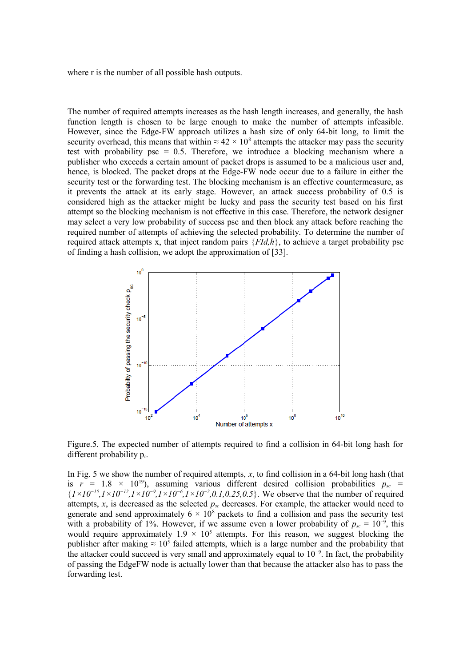where r is the number of all possible hash outputs.

The number of required attempts increases as the hash length increases, and generally, the hash function length is chosen to be large enough to make the number of attempts infeasible. However, since the Edge-FW approach utilizes a hash size of only 64-bit long, to limit the security overhead, this means that within  $\approx 42 \times 10^8$  attempts the attacker may pass the security test with probability psc = 0.5. Therefore, we introduce a blocking mechanism where a publisher who exceeds a certain amount of packet drops is assumed to be a malicious user and, hence, is blocked. The packet drops at the Edge-FW node occur due to a failure in either the security test or the forwarding test. The blocking mechanism is an effective countermeasure, as it prevents the attack at its early stage. However, an attack success probability of 0.5 is considered high as the attacker might be lucky and pass the security test based on his first attempt so the blocking mechanism is not effective in this case. Therefore, the network designer may select a very low probability of success psc and then block any attack before reaching the required number of attempts of achieving the selected probability. To determine the number of required attack attempts x, that inject random pairs  ${FId, h}$ , to achieve a target probability psc of finding a hash collision, we adopt the approximation of [33].



Figure.5. The expected number of attempts required to find a collision in 64-bit long hash for different probability p<sub>r</sub>.

In Fig. 5 we show the number of required attempts, *x*, to find collision in a 64-bit long hash (that is  $r = 1.8 \times 10^{19}$ , assuming various different desired collision probabilities  $p_{sc}$  = {*1×10−15,1×10−12,1×10−9,1×10−6,1×10−2,0.1,0.25,0.5*}. We observe that the number of required attempts,  $x$ , is decreased as the selected  $p_{\text{sc}}$  decreases. For example, the attacker would need to generate and send approximately  $6 \times 10^8$  packets to find a collision and pass the security test with a probability of 1%. However, if we assume even a lower probability of  $p_{sc} = 10^{-9}$ , this would require approximately  $1.9 \times 10^5$  attempts. For this reason, we suggest blocking the publisher after making  $\approx 10^5$  failed attempts, which is a large number and the probability that the attacker could succeed is very small and approximately equal to  $10^{-9}$ . In fact, the probability of passing the EdgeFW node is actually lower than that because the attacker also has to pass the forwarding test.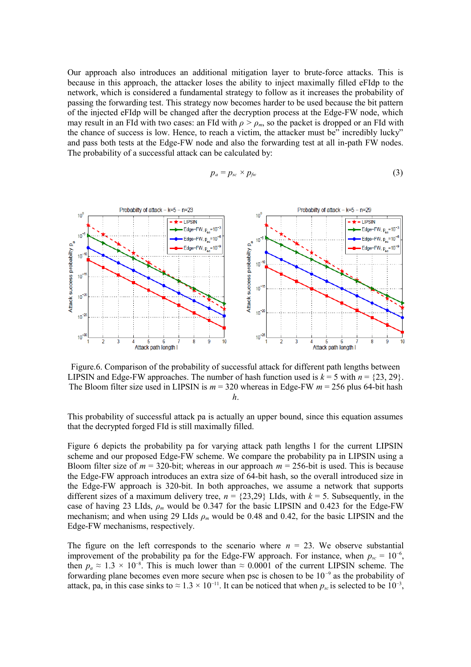Our approach also introduces an additional mitigation layer to brute-force attacks. This is because in this approach, the attacker loses the ability to inject maximally filled eFIdp to the network, which is considered a fundamental strategy to follow as it increases the probability of passing the forwarding test. This strategy now becomes harder to be used because the bit pattern of the injected eFIdp will be changed after the decryption process at the Edge-FW node, which may result in an FId with two cases: an FId with  $\rho > \rho_m$ , so the packet is dropped or an FId with the chance of success is low. Hence, to reach a victim, the attacker must be" incredibly lucky" and pass both tests at the Edge-FW node and also the forwarding test at all in-path FW nodes. The probability of a successful attack can be calculated by:

$$
p_a = p_{sc} \times p_{fw} \tag{3}
$$



Figure.6. Comparison of the probability of successful attack for different path lengths between LIPSIN and Edge-FW approaches. The number of hash function used is  $k = 5$  with  $n = \{23, 29\}$ . The Bloom filter size used in LIPSIN is *m* = 320 whereas in Edge-FW *m* = 256 plus 64-bit hash *h*.

This probability of successful attack pa is actually an upper bound, since this equation assumes that the decrypted forged FId is still maximally filled.

Figure 6 depicts the probability pa for varying attack path lengths l for the current LIPSIN scheme and our proposed Edge-FW scheme. We compare the probability pa in LIPSIN using a Bloom filter size of  $m = 320$ -bit; whereas in our approach  $m = 256$ -bit is used. This is because the Edge-FW approach introduces an extra size of 64-bit hash, so the overall introduced size in the Edge-FW approach is 320-bit. In both approaches, we assume a network that supports different sizes of a maximum delivery tree,  $n = \{23,29\}$  LIds, with  $k = 5$ . Subsequently, in the case of having 23 LIds, *ρm* would be 0.347 for the basic LIPSIN and 0.423 for the Edge-FW mechanism; and when using 29 LIds  $\rho_m$  would be 0.48 and 0.42, for the basic LIPSIN and the Edge-FW mechanisms, respectively.

The figure on the left corresponds to the scenario where  $n = 23$ . We observe substantial improvement of the probability pa for the Edge-FW approach. For instance, when  $p_{sc} = 10^{-6}$ , then  $p_a \approx 1.3 \times 10^{-8}$ . This is much lower than  $\approx 0.0001$  of the current LIPSIN scheme. The forwarding plane becomes even more secure when psc is chosen to be  $10^{-9}$  as the probability of attack, pa, in this case sinks to  $\approx 1.3 \times 10^{-11}$ . It can be noticed that when  $p_{sc}$  is selected to be  $10^{-3}$ ,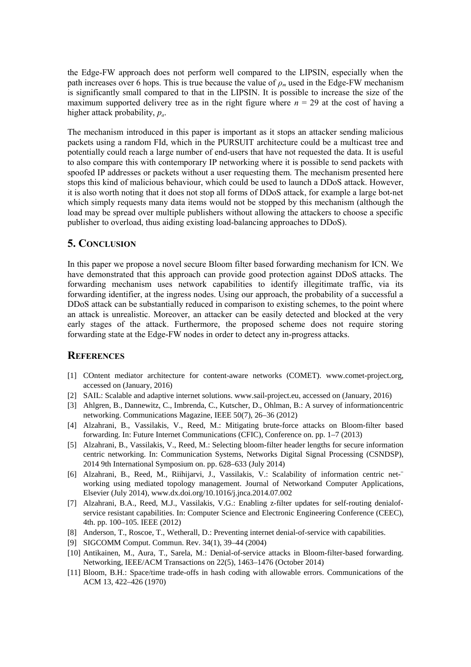the Edge-FW approach does not perform well compared to the LIPSIN, especially when the path increases over 6 hops. This is true because the value of  $\rho_m$  used in the Edge-FW mechanism is significantly small compared to that in the LIPSIN. It is possible to increase the size of the maximum supported delivery tree as in the right figure where  $n = 29$  at the cost of having a higher attack probability, *pa*.

The mechanism introduced in this paper is important as it stops an attacker sending malicious packets using a random FId, which in the PURSUIT architecture could be a multicast tree and potentially could reach a large number of end-users that have not requested the data. It is useful to also compare this with contemporary IP networking where it is possible to send packets with spoofed IP addresses or packets without a user requesting them. The mechanism presented here stops this kind of malicious behaviour, which could be used to launch a DDoS attack. However, it is also worth noting that it does not stop all forms of DDoS attack, for example a large bot-net which simply requests many data items would not be stopped by this mechanism (although the load may be spread over multiple publishers without allowing the attackers to choose a specific publisher to overload, thus aiding existing load-balancing approaches to DDoS).

# **5. CONCLUSION**

In this paper we propose a novel secure Bloom filter based forwarding mechanism for ICN. We have demonstrated that this approach can provide good protection against DDoS attacks. The forwarding mechanism uses network capabilities to identify illegitimate traffic, via its forwarding identifier, at the ingress nodes. Using our approach, the probability of a successful a DDoS attack can be substantially reduced in comparison to existing schemes, to the point where an attack is unrealistic. Moreover, an attacker can be easily detected and blocked at the very early stages of the attack. Furthermore, the proposed scheme does not require storing forwarding state at the Edge-FW nodes in order to detect any in-progress attacks.

# **REFERENCES**

- [1] COntent mediator architecture for content-aware networks (COMET). www.comet-project.org, accessed on (January, 2016)
- [2] SAIL: Scalable and adaptive internet solutions. www.sail-project.eu, accessed on (January, 2016)
- [3] Ahlgren, B., Dannewitz, C., Imbrenda, C., Kutscher, D., Ohlman, B.: A survey of informationcentric networking. Communications Magazine, IEEE 50(7), 26–36 (2012)
- [4] Alzahrani, B., Vassilakis, V., Reed, M.: Mitigating brute-force attacks on Bloom-filter based forwarding. In: Future Internet Communications (CFIC), Conference on. pp. 1–7 (2013)
- [5] Alzahrani, B., Vassilakis, V., Reed, M.: Selecting bloom-filter header lengths for secure information centric networking. In: Communication Systems, Networks Digital Signal Processing (CSNDSP), 2014 9th International Symposium on. pp. 628–633 (July 2014)
- [6] Alzahrani, B., Reed, M., Riihijarvi, J., Vassilakis, V.: Scalability of information centric net-¨ working using mediated topology management. Journal of Networkand Computer Applications, Elsevier (July 2014), www.dx.doi.org/10.1016/j.jnca.2014.07.002
- [7] Alzahrani, B.A., Reed, M.J., Vassilakis, V.G.: Enabling z-filter updates for self-routing denialofservice resistant capabilities. In: Computer Science and Electronic Engineering Conference (CEEC), 4th. pp. 100–105. IEEE (2012)
- [8] Anderson, T., Roscoe, T., Wetherall, D.: Preventing internet denial-of-service with capabilities.
- [9] SIGCOMM Comput. Commun. Rev. 34(1), 39–44 (2004)
- [10] Antikainen, M., Aura, T., Sarela, M.: Denial-of-service attacks in Bloom-filter-based forwarding. Networking, IEEE/ACM Transactions on 22(5), 1463–1476 (October 2014)
- [11] Bloom, B.H.: Space/time trade-offs in hash coding with allowable errors. Communications of the ACM 13, 422–426 (1970)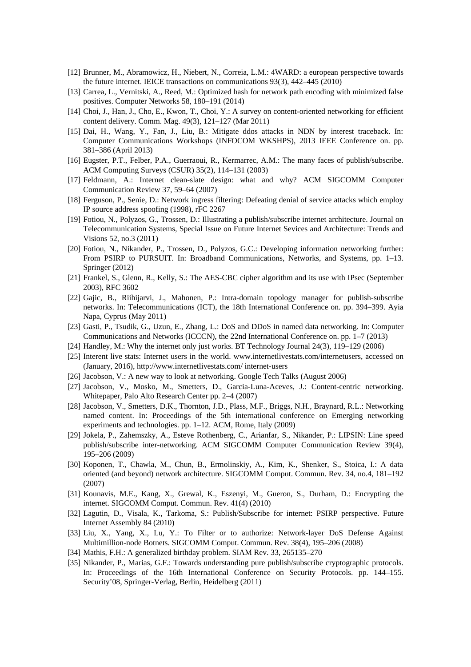- [12] Brunner, M., Abramowicz, H., Niebert, N., Correia, L.M.: 4WARD: a european perspective towards the future internet. IEICE transactions on communications 93(3), 442–445 (2010)
- [13] Carrea, L., Vernitski, A., Reed, M.: Optimized hash for network path encoding with minimized false positives. Computer Networks 58, 180–191 (2014)
- [14] Choi, J., Han, J., Cho, E., Kwon, T., Choi, Y.: A survey on content-oriented networking for efficient content delivery. Comm. Mag. 49(3), 121–127 (Mar 2011)
- [15] Dai, H., Wang, Y., Fan, J., Liu, B.: Mitigate ddos attacks in NDN by interest traceback. In: Computer Communications Workshops (INFOCOM WKSHPS), 2013 IEEE Conference on. pp. 381–386 (April 2013)
- [16] Eugster, P.T., Felber, P.A., Guerraoui, R., Kermarrec, A.M.: The many faces of publish/subscribe. ACM Computing Surveys (CSUR) 35(2), 114–131 (2003)
- [17] Feldmann, A.: Internet clean-slate design: what and why? ACM SIGCOMM Computer Communication Review 37, 59–64 (2007)
- [18] Ferguson, P., Senie, D.: Network ingress filtering: Defeating denial of service attacks which employ IP source address spoofing (1998), rFC 2267
- [19] Fotiou, N., Polyzos, G., Trossen, D.: Illustrating a publish/subscribe internet architecture. Journal on Telecommunication Systems, Special Issue on Future Internet Sevices and Architecture: Trends and Visions 52, no.3 (2011)
- [20] Fotiou, N., Nikander, P., Trossen, D., Polyzos, G.C.: Developing information networking further: From PSIRP to PURSUIT. In: Broadband Communications, Networks, and Systems, pp. 1–13. Springer (2012)
- [21] Frankel, S., Glenn, R., Kelly, S.: The AES-CBC cipher algorithm and its use with IPsec (September 2003), RFC 3602
- [22] Gajic, B., Riihijarvi, J., Mahonen, P.: Intra-domain topology manager for publish-subscribe networks. In: Telecommunications (ICT), the 18th International Conference on. pp. 394–399. Ayia Napa, Cyprus (May 2011)
- [23] Gasti, P., Tsudik, G., Uzun, E., Zhang, L.: DoS and DDoS in named data networking. In: Computer Communications and Networks (ICCCN), the 22nd International Conference on. pp. 1–7 (2013)
- [24] Handley, M.: Why the internet only just works. BT Technology Journal 24(3), 119–129 (2006)
- [25] Interent live stats: Internet users in the world. www.internetlivestats.com/internetusers, accessed on (January, 2016), http://www.internetlivestats.com/ internet-users
- [26] Jacobson, V.: A new way to look at networking. Google Tech Talks (August 2006)
- [27] Jacobson, V., Mosko, M., Smetters, D., Garcia-Luna-Aceves, J.: Content-centric networking. Whitepaper, Palo Alto Research Center pp. 2–4 (2007)
- [28] Jacobson, V., Smetters, D.K., Thornton, J.D., Plass, M.F., Briggs, N.H., Braynard, R.L.: Networking named content. In: Proceedings of the 5th international conference on Emerging networking experiments and technologies. pp. 1–12. ACM, Rome, Italy (2009)
- [29] Jokela, P., Zahemszky, A., Esteve Rothenberg, C., Arianfar, S., Nikander, P.: LIPSIN: Line speed publish/subscribe inter-networking. ACM SIGCOMM Computer Communication Review 39(4), 195–206 (2009)
- [30] Koponen, T., Chawla, M., Chun, B., Ermolinskiy, A., Kim, K., Shenker, S., Stoica, I.: A data oriented (and beyond) network architecture. SIGCOMM Comput. Commun. Rev. 34, no.4, 181–192 (2007)
- [31] Kounavis, M.E., Kang, X., Grewal, K., Eszenyi, M., Gueron, S., Durham, D.: Encrypting the internet. SIGCOMM Comput. Commun. Rev. 41(4) (2010)
- [32] Lagutin, D., Visala, K., Tarkoma, S.: Publish/Subscribe for internet: PSIRP perspective. Future Internet Assembly 84 (2010)
- [33] Liu, X., Yang, X., Lu, Y.: To Filter or to authorize: Network-layer DoS Defense Against Multimillion-node Botnets. SIGCOMM Comput. Commun. Rev. 38(4), 195–206 (2008)
- [34] Mathis, F.H.: A generalized birthday problem. SIAM Rev. 33, 265135–270
- [35] Nikander, P., Marias, G.F.: Towards understanding pure publish/subscribe cryptographic protocols. In: Proceedings of the 16th International Conference on Security Protocols. pp. 144–155. Security'08, Springer-Verlag, Berlin, Heidelberg (2011)